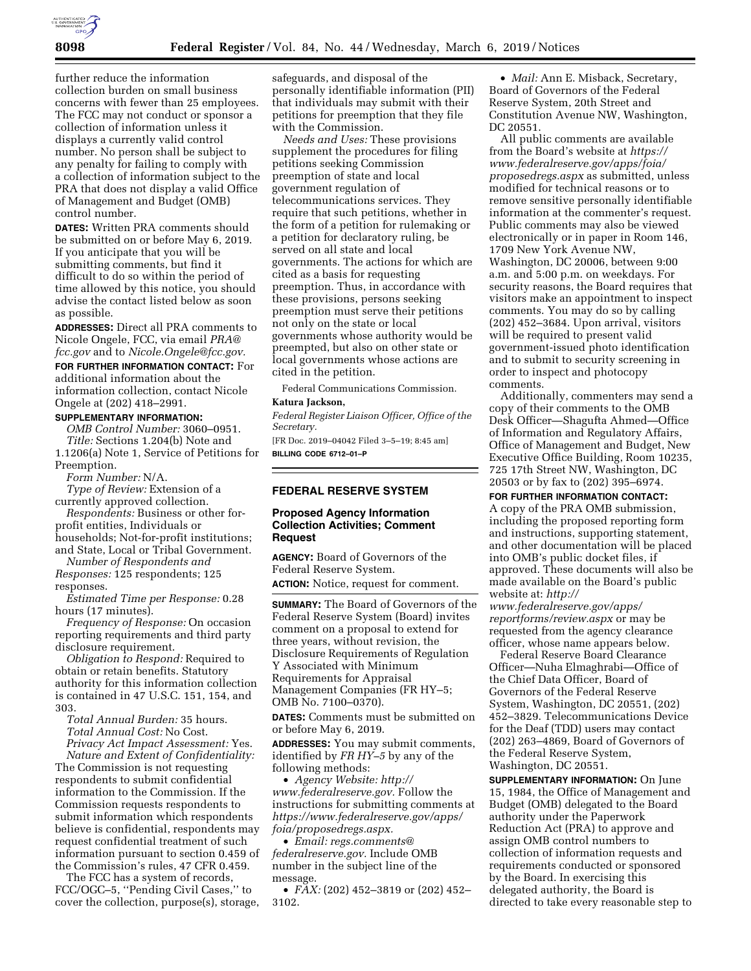

further reduce the information collection burden on small business concerns with fewer than 25 employees. The FCC may not conduct or sponsor a collection of information unless it displays a currently valid control number. No person shall be subject to any penalty for failing to comply with a collection of information subject to the PRA that does not display a valid Office of Management and Budget (OMB) control number.

**DATES:** Written PRA comments should be submitted on or before May 6, 2019. If you anticipate that you will be submitting comments, but find it difficult to do so within the period of time allowed by this notice, you should advise the contact listed below as soon as possible.

**ADDRESSES:** Direct all PRA comments to Nicole Ongele, FCC, via email *[PRA@](mailto:PRA@fcc.gov) [fcc.gov](mailto:PRA@fcc.gov)* and to *[Nicole.Ongele@fcc.gov.](mailto:Nicole.Ongele@fcc.gov)*  **FOR FURTHER INFORMATION CONTACT:** For

# additional information about the

information collection, contact Nicole Ongele at (202) 418–2991.

# **SUPPLEMENTARY INFORMATION:**

*OMB Control Number:* 3060–0951. *Title:* Sections 1.204(b) Note and 1.1206(a) Note 1, Service of Petitions for Preemption.

*Form Number:* N/A.

*Type of Review:* Extension of a currently approved collection.

*Respondents:* Business or other forprofit entities, Individuals or households; Not-for-profit institutions; and State, Local or Tribal Government.

*Number of Respondents and Responses:* 125 respondents; 125 responses.

*Estimated Time per Response:* 0.28 hours (17 minutes).

*Frequency of Response:* On occasion reporting requirements and third party disclosure requirement.

*Obligation to Respond:* Required to obtain or retain benefits. Statutory authority for this information collection is contained in 47 U.S.C. 151, 154, and 303.

*Total Annual Burden:* 35 hours. *Total Annual Cost:* No Cost. *Privacy Act Impact Assessment:* Yes.

*Nature and Extent of Confidentiality:*  The Commission is not requesting respondents to submit confidential information to the Commission. If the Commission requests respondents to submit information which respondents believe is confidential, respondents may request confidential treatment of such information pursuant to section 0.459 of the Commission's rules, 47 CFR 0.459.

The FCC has a system of records, FCC/OGC–5, ''Pending Civil Cases,'' to cover the collection, purpose(s), storage,

safeguards, and disposal of the personally identifiable information (PII) that individuals may submit with their petitions for preemption that they file with the Commission.

*Needs and Uses:* These provisions supplement the procedures for filing petitions seeking Commission preemption of state and local government regulation of telecommunications services. They require that such petitions, whether in the form of a petition for rulemaking or a petition for declaratory ruling, be served on all state and local governments. The actions for which are cited as a basis for requesting preemption. Thus, in accordance with these provisions, persons seeking preemption must serve their petitions not only on the state or local governments whose authority would be preempted, but also on other state or local governments whose actions are cited in the petition.

Federal Communications Commission.

## **Katura Jackson,**

*Federal Register Liaison Officer, Office of the Secretary.* 

[FR Doc. 2019–04042 Filed 3–5–19; 8:45 am] **BILLING CODE 6712–01–P** 

## **FEDERAL RESERVE SYSTEM**

#### **Proposed Agency Information Collection Activities; Comment Request**

**AGENCY:** Board of Governors of the Federal Reserve System.

**ACTION:** Notice, request for comment.

**SUMMARY:** The Board of Governors of the Federal Reserve System (Board) invites comment on a proposal to extend for three years, without revision, the Disclosure Requirements of Regulation Y Associated with Minimum Requirements for Appraisal Management Companies (FR HY–5; OMB No. 7100–0370).

**DATES:** Comments must be submitted on or before May 6, 2019.

**ADDRESSES:** You may submit comments, identified by *FR HY–5* by any of the following methods:

• *Agency Website: [http://](http://www.federalreserve.gov) [www.federalreserve.gov.](http://www.federalreserve.gov)* Follow the instructions for submitting comments at *[https://www.federalreserve.gov/apps/](https://www.federalreserve.gov/apps/foia/proposedregs.aspx) [foia/proposedregs.aspx.](https://www.federalreserve.gov/apps/foia/proposedregs.aspx)* 

• *Email: [regs.comments@](mailto:regs.comments@federalreserve.gov) [federalreserve.gov.](mailto:regs.comments@federalreserve.gov)* Include OMB number in the subject line of the message.

• *FAX:* (202) 452–3819 or (202) 452– 3102.

• *Mail:* Ann E. Misback, Secretary, Board of Governors of the Federal Reserve System, 20th Street and Constitution Avenue NW, Washington, DC 20551.

All public comments are available from the Board's website at *[https://](https://www.federalreserve.gov/apps/foia/proposedregs.aspx) [www.federalreserve.gov/apps/foia/](https://www.federalreserve.gov/apps/foia/proposedregs.aspx) [proposedregs.aspx](https://www.federalreserve.gov/apps/foia/proposedregs.aspx)* as submitted, unless modified for technical reasons or to remove sensitive personally identifiable information at the commenter's request. Public comments may also be viewed electronically or in paper in Room 146, 1709 New York Avenue NW, Washington, DC 20006, between 9:00 a.m. and 5:00 p.m. on weekdays. For security reasons, the Board requires that visitors make an appointment to inspect comments. You may do so by calling (202) 452–3684. Upon arrival, visitors will be required to present valid government-issued photo identification and to submit to security screening in order to inspect and photocopy comments.

Additionally, commenters may send a copy of their comments to the OMB Desk Officer—Shagufta Ahmed—Office of Information and Regulatory Affairs, Office of Management and Budget, New Executive Office Building, Room 10235, 725 17th Street NW, Washington, DC 20503 or by fax to (202) 395–6974.

**FOR FURTHER INFORMATION CONTACT:**  A copy of the PRA OMB submission, including the proposed reporting form and instructions, supporting statement, and other documentation will be placed into OMB's public docket files, if approved. These documents will also be made available on the Board's public website at: *[http://](http://www.federalreserve.gov/apps/reportforms/review.aspx)*

*[www.federalreserve.gov/apps/](http://www.federalreserve.gov/apps/reportforms/review.aspx)  [reportforms/review.aspx](http://www.federalreserve.gov/apps/reportforms/review.aspx)* or may be requested from the agency clearance officer, whose name appears below.

Federal Reserve Board Clearance Officer—Nuha Elmaghrabi—Office of the Chief Data Officer, Board of Governors of the Federal Reserve System, Washington, DC 20551, (202) 452–3829. Telecommunications Device for the Deaf (TDD) users may contact (202) 263–4869, Board of Governors of the Federal Reserve System, Washington, DC 20551.

**SUPPLEMENTARY INFORMATION:** On June 15, 1984, the Office of Management and Budget (OMB) delegated to the Board authority under the Paperwork Reduction Act (PRA) to approve and assign OMB control numbers to collection of information requests and requirements conducted or sponsored by the Board. In exercising this delegated authority, the Board is directed to take every reasonable step to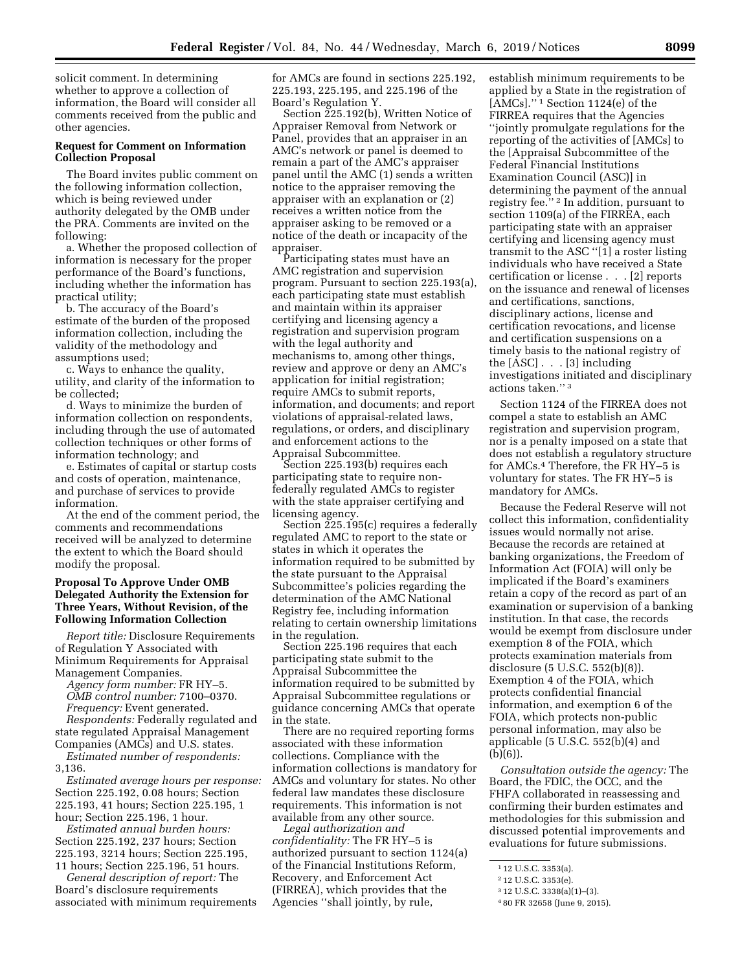solicit comment. In determining whether to approve a collection of information, the Board will consider all comments received from the public and other agencies.

#### **Request for Comment on Information Collection Proposal**

The Board invites public comment on the following information collection, which is being reviewed under authority delegated by the OMB under the PRA. Comments are invited on the following:

a. Whether the proposed collection of information is necessary for the proper performance of the Board's functions, including whether the information has practical utility;

b. The accuracy of the Board's estimate of the burden of the proposed information collection, including the validity of the methodology and assumptions used;

c. Ways to enhance the quality, utility, and clarity of the information to be collected;

d. Ways to minimize the burden of information collection on respondents, including through the use of automated collection techniques or other forms of information technology; and

e. Estimates of capital or startup costs and costs of operation, maintenance, and purchase of services to provide information.

At the end of the comment period, the comments and recommendations received will be analyzed to determine the extent to which the Board should modify the proposal.

#### **Proposal To Approve Under OMB Delegated Authority the Extension for Three Years, Without Revision, of the Following Information Collection**

*Report title:* Disclosure Requirements of Regulation Y Associated with Minimum Requirements for Appraisal Management Companies.

*Agency form number:* FR HY–5. *OMB control number:* 7100–0370.

*Frequency:* Event generated. *Respondents:* Federally regulated and state regulated Appraisal Management Companies (AMCs) and U.S. states.

*Estimated number of respondents:*  3,136.

*Estimated average hours per response:*  Section 225.192, 0.08 hours; Section 225.193, 41 hours; Section 225.195, 1 hour; Section 225.196, 1 hour.

*Estimated annual burden hours:*  Section 225.192, 237 hours; Section 225.193, 3214 hours; Section 225.195, 11 hours; Section 225.196, 51 hours.

*General description of report:* The Board's disclosure requirements associated with minimum requirements for AMCs are found in sections 225.192, 225.193, 225.195, and 225.196 of the Board's Regulation Y.

Section 225.192(b), Written Notice of Appraiser Removal from Network or Panel, provides that an appraiser in an AMC's network or panel is deemed to remain a part of the AMC's appraiser panel until the AMC (1) sends a written notice to the appraiser removing the appraiser with an explanation or (2) receives a written notice from the appraiser asking to be removed or a notice of the death or incapacity of the appraiser.

Participating states must have an AMC registration and supervision program. Pursuant to section 225.193(a), each participating state must establish and maintain within its appraiser certifying and licensing agency a registration and supervision program with the legal authority and mechanisms to, among other things, review and approve or deny an AMC's application for initial registration; require AMCs to submit reports, information, and documents; and report violations of appraisal-related laws, regulations, or orders, and disciplinary and enforcement actions to the Appraisal Subcommittee.

Section 225.193(b) requires each participating state to require nonfederally regulated AMCs to register with the state appraiser certifying and licensing agency.

Section 225.195(c) requires a federally regulated AMC to report to the state or states in which it operates the information required to be submitted by the state pursuant to the Appraisal Subcommittee's policies regarding the determination of the AMC National Registry fee, including information relating to certain ownership limitations in the regulation.

Section 225.196 requires that each participating state submit to the Appraisal Subcommittee the information required to be submitted by Appraisal Subcommittee regulations or guidance concerning AMCs that operate in the state.

There are no required reporting forms associated with these information collections. Compliance with the information collections is mandatory for AMCs and voluntary for states. No other federal law mandates these disclosure requirements. This information is not available from any other source.

*Legal authorization and confidentiality:* The FR HY–5 is authorized pursuant to section 1124(a) of the Financial Institutions Reform, Recovery, and Enforcement Act (FIRREA), which provides that the Agencies ''shall jointly, by rule,

establish minimum requirements to be applied by a State in the registration of [AMCs].'' 1 Section 1124(e) of the FIRREA requires that the Agencies ''jointly promulgate regulations for the reporting of the activities of [AMCs] to the [Appraisal Subcommittee of the Federal Financial Institutions Examination Council (ASC)] in determining the payment of the annual registry fee.'' 2 In addition, pursuant to section 1109(a) of the FIRREA, each participating state with an appraiser certifying and licensing agency must transmit to the ASC ''[1] a roster listing individuals who have received a State certification or license . . . [2] reports on the issuance and renewal of licenses and certifications, sanctions, disciplinary actions, license and certification revocations, and license and certification suspensions on a timely basis to the national registry of the [ASC] . . . [3] including investigations initiated and disciplinary actions taken.'' 3

Section 1124 of the FIRREA does not compel a state to establish an AMC registration and supervision program, nor is a penalty imposed on a state that does not establish a regulatory structure for AMCs.4 Therefore, the FR HY–5 is voluntary for states. The FR HY–5 is mandatory for AMCs.

Because the Federal Reserve will not collect this information, confidentiality issues would normally not arise. Because the records are retained at banking organizations, the Freedom of Information Act (FOIA) will only be implicated if the Board's examiners retain a copy of the record as part of an examination or supervision of a banking institution. In that case, the records would be exempt from disclosure under exemption 8 of the FOIA, which protects examination materials from disclosure (5 U.S.C. 552(b)(8)). Exemption 4 of the FOIA, which protects confidential financial information, and exemption 6 of the FOIA, which protects non-public personal information, may also be applicable (5 U.S.C. 552(b)(4) and (b)(6)).

*Consultation outside the agency:* The Board, the FDIC, the OCC, and the FHFA collaborated in reassessing and confirming their burden estimates and methodologies for this submission and discussed potential improvements and evaluations for future submissions.

<sup>1</sup> 12 U.S.C. 3353(a).

<sup>2</sup> 12 U.S.C. 3353(e).

<sup>3</sup> 12 U.S.C. 3338(a)(1)–(3).

<sup>4</sup> 80 FR 32658 (June 9, 2015).